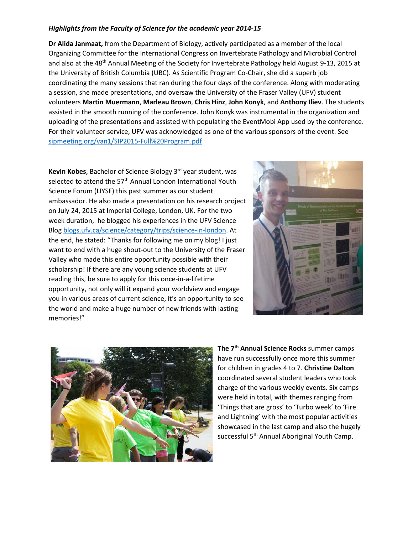## *Highlights from the Faculty of Science for the academic year 2014-15*

**Dr Alida Janmaat,** from the Department of Biology, actively participated as a member of the local Organizing Committee for the International Congress on Invertebrate Pathology and Microbial Control and also at the 48<sup>th</sup> Annual Meeting of the Society for Invertebrate Pathology held August 9-13, 2015 at the University of British Columbia (UBC). As Scientific Program Co-Chair, she did a superb job coordinating the many sessions that ran during the four days of the conference. Along with moderating a session, she made presentations, and oversaw the University of the Fraser Valley (UFV) student volunteers **Martin Muermann**, **Marleau Brown**, **Chris Hinz**, **John Konyk**, and **Anthony Iliev**. The students assisted in the smooth running of the conference. John Konyk was instrumental in the organization and uploading of the presentations and assisted with populating the EventMobi App used by the conference. For their volunteer service, UFV was acknowledged as one of the various sponsors of the event. See [sipmeeting.org/van1/SIP2015-Full%20Program.pdf](http://www.sipmeeting.org/van1/SIP2015-Full%20Program.pdf)

**Kevin Kobes**, Bachelor of Science Biology 3rd year student, was selected to attend the 57<sup>th</sup> Annual London International Youth Science Forum (LIYSF) this past summer as our student ambassador. He also made a presentation on his research project on July 24, 2015 at Imperial College, London, UK. For the two week duration, he blogged his experiences in the UFV Science Blog [blogs.ufv.ca/science/category/trips/science-in-london.](http://blogs.ufv.ca/science/category/trips/science-in-london/) At the end, he stated: "Thanks for following me on my blog! I just want to end with a huge shout-out to the University of the Fraser Valley who made this entire opportunity possible with their scholarship! If there are any young science students at UFV reading this, be sure to apply for this once-in-a-lifetime opportunity, not only will it expand your worldview and engage you in various areas of current science, it's an opportunity to see the world and make a huge number of new friends with lasting memories!"





**The 7th Annual Science Rocks** summer camps have run successfully once more this summer for children in grades 4 to 7. **Christine Dalton** coordinated several student leaders who took charge of the various weekly events. Six camps were held in total, with themes ranging from 'Things that are gross' to 'Turbo week' to 'Fire and Lightning' with the most popular activities showcased in the last camp and also the hugely successful 5<sup>th</sup> Annual Aboriginal Youth Camp.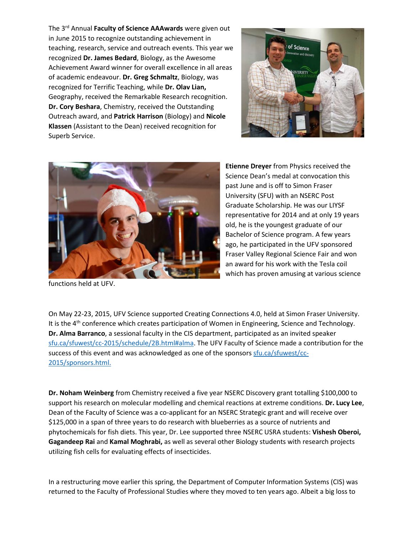The 3rd Annual **Faculty of Science AAAwards** were given out in June 2015 to recognize outstanding achievement in teaching, research, service and outreach events. This year we recognized **Dr. James Bedard**, Biology, as the Awesome Achievement Award winner for overall excellence in all areas of academic endeavour. **Dr. Greg Schmaltz**, Biology, was recognized for Terrific Teaching, while **Dr. Olav Lian,** Geography, received the Remarkable Research recognition. **Dr. Cory Beshara**, Chemistry, received the Outstanding Outreach award, and **Patrick Harrison** (Biology) and **Nicole Klassen** (Assistant to the Dean) received recognition for Superb Service.





functions held at UFV.

**Etienne Dreyer** from Physics received the Science Dean's medal at convocation this past June and is off to Simon Fraser University (SFU) with an NSERC Post Graduate Scholarship. He was our LIYSF representative for 2014 and at only 19 years old, he is the youngest graduate of our Bachelor of Science program. A few years ago, he participated in the UFV sponsored Fraser Valley Regional Science Fair and won an award for his work with the Tesla coil which has proven amusing at various science

On May 22-23, 2015, UFV Science supported Creating Connections 4.0, held at Simon Fraser University. It is the 4<sup>th</sup> conference which creates participation of Women in Engineering, Science and Technology. **Dr. Alma Barranco**, a sessional faculty in the CIS department, participated as an invited speaker [sfu.ca/sfuwest/cc-2015/schedule/2B.html#alma.](http://www.sfu.ca/sfuwest/cc-2015/schedule/2B.html#alma) The UFV Faculty of Science made a contribution for the success of this event and was acknowledged as one of the sponsor[s sfu.ca/sfuwest/cc-](http://www.sfu.ca/sfuwest/cc-2015/sponsors.html)[2015/sponsors.html.](http://www.sfu.ca/sfuwest/cc-2015/sponsors.html)

**Dr. Noham Weinberg** from Chemistry received a five year NSERC Discovery grant totalling \$100,000 to support his research on molecular modelling and chemical reactions at extreme conditions. **Dr. Lucy Lee**, Dean of the Faculty of Science was a co-applicant for an NSERC Strategic grant and will receive over \$125,000 in a span of three years to do research with blueberries as a source of nutrients and phytochemicals for fish diets. This year, Dr. Lee supported three NSERC USRA students: **Vishesh Oberoi, Gagandeep Rai** and **Kamal Moghrabi,** as well as several other Biology students with research projects utilizing fish cells for evaluating effects of insecticides.

In a restructuring move earlier this spring, the Department of Computer Information Systems (CIS) was returned to the Faculty of Professional Studies where they moved to ten years ago. Albeit a big loss to